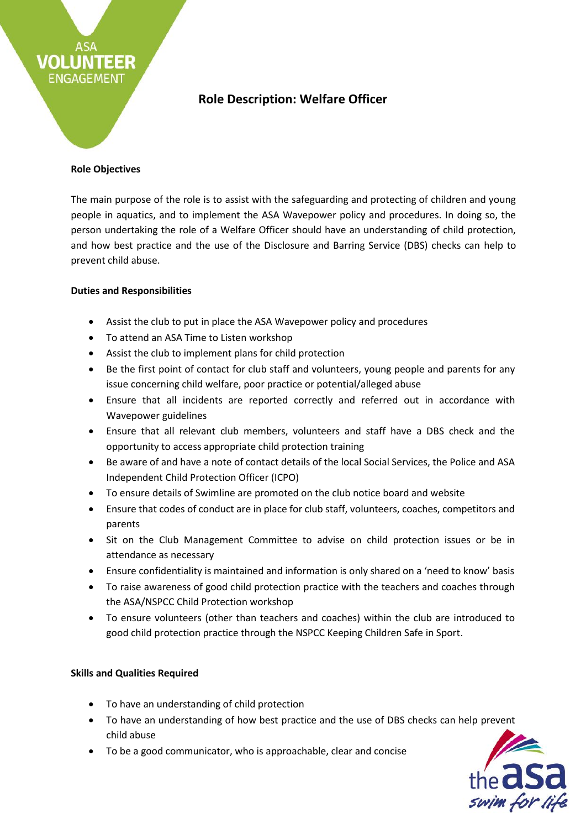# **Role Description: Welfare Officer**

#### **Role Objectives**

EER

VOLLI

ENGAGEMENT

The main purpose of the role is to assist with the safeguarding and protecting of children and young people in aquatics, and to implement the ASA Wavepower policy and procedures. In doing so, the person undertaking the role of a Welfare Officer should have an understanding of child protection, and how best practice and the use of the Disclosure and Barring Service (DBS) checks can help to prevent child abuse.

### **Duties and Responsibilities**

- Assist the club to put in place the ASA Wavepower policy and procedures
- To attend an ASA Time to Listen workshop
- Assist the club to implement plans for child protection
- Be the first point of contact for club staff and volunteers, young people and parents for any issue concerning child welfare, poor practice or potential/alleged abuse
- Ensure that all incidents are reported correctly and referred out in accordance with Wavepower guidelines
- Ensure that all relevant club members, volunteers and staff have a DBS check and the opportunity to access appropriate child protection training
- Be aware of and have a note of contact details of the local Social Services, the Police and ASA Independent Child Protection Officer (ICPO)
- To ensure details of Swimline are promoted on the club notice board and website
- Ensure that codes of conduct are in place for club staff, volunteers, coaches, competitors and parents
- Sit on the Club Management Committee to advise on child protection issues or be in attendance as necessary
- Ensure confidentiality is maintained and information is only shared on a 'need to know' basis
- To raise awareness of good child protection practice with the teachers and coaches through the ASA/NSPCC Child Protection workshop
- To ensure volunteers (other than teachers and coaches) within the club are introduced to good child protection practice through the NSPCC Keeping Children Safe in Sport.

## **Skills and Qualities Required**

- To have an understanding of child protection
- To have an understanding of how best practice and the use of DBS checks can help prevent child abuse
- To be a good communicator, who is approachable, clear and concise